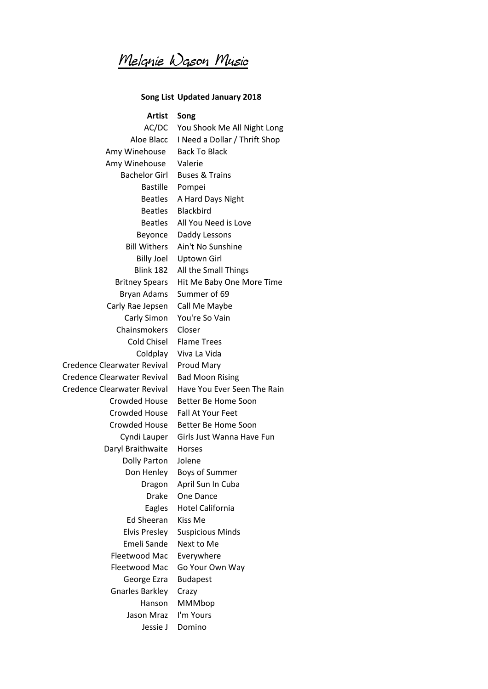Melanie Wason Music

## **Song List Updated January 2018**

**Artist Song** AC/DC You Shook Me All Night Long Aloe Blacc I Need a Dollar / Thrift Shop Amy Winehouse Back To Black Amy Winehouse Valerie Bachelor Girl Buses & Trains Bastille Pompei Beatles A Hard Days Night Beatles Blackbird Beatles All You Need is Love Beyonce Daddy Lessons Bill Withers Ain't No Sunshine Billy Joel Uptown Girl Blink 182 All the Small Things Britney Spears Hit Me Baby One More Time Bryan Adams Summer of 69 Carly Rae Jepsen Call Me Maybe Carly Simon You're So Vain Chainsmokers Closer Cold Chisel Flame Trees Coldplay Viva La Vida Credence Clearwater Revival Proud Mary Credence Clearwater Revival Bad Moon Rising Credence Clearwater Revival Have You Ever Seen The Rain Crowded House Better Be Home Soon Crowded House Fall At Your Feet Crowded House Better Be Home Soon Cyndi Lauper Girls Just Wanna Have Fun Daryl Braithwaite Horses Dolly Parton Jolene Don Henley Boys of Summer Dragon April Sun In Cuba Drake One Dance Eagles Hotel California Ed Sheeran Kiss Me Elvis Presley Suspicious Minds Emeli Sande Next to Me Fleetwood Mac Everywhere Fleetwood Mac Go Your Own Way George Ezra Budapest Gnarles Barkley Crazy Hanson MMMbop Jason Mraz I'm Yours Jessie J Domino